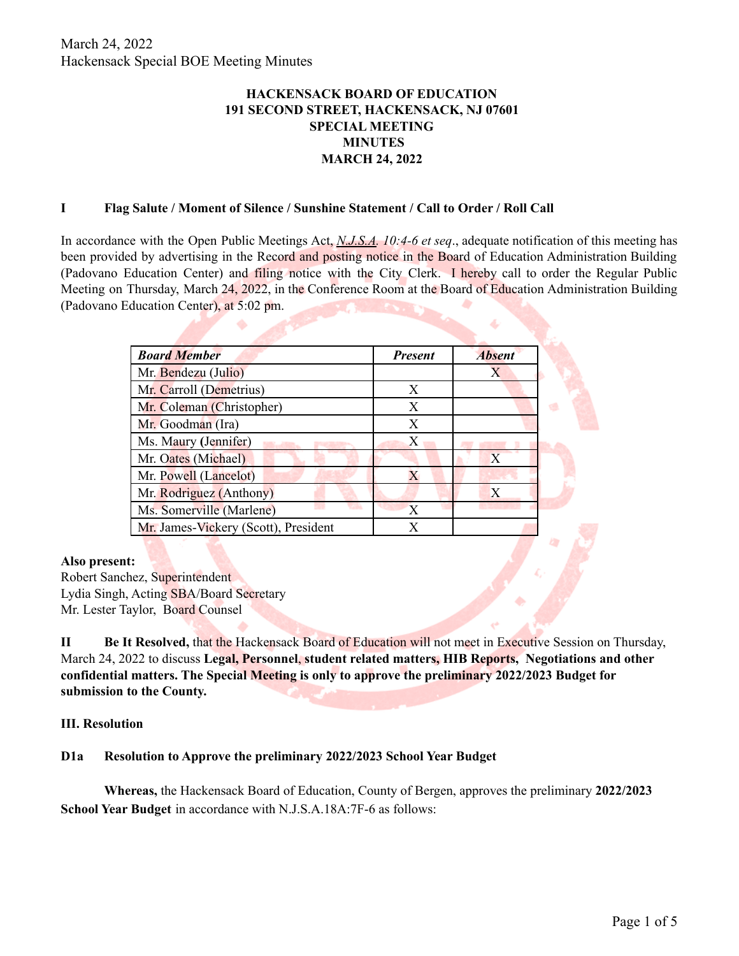# **HACKENSACK BOARD OF EDUCATION 191 SECOND STREET, HACKENSACK, NJ 07601 SPECIAL MEETING MINUTES MARCH 24, 2022**

#### **I Flag Salute / Moment of Silence / Sunshine Statement / Call to Order / Roll Call**

In accordance with the Open Public Meetings Act, *N.J.S.A. 10:4-6 et seq*., adequate notification of this meeting has been provided by advertising in the Record and posting notice in the Board of Education Administration Building (Padovano Education Center) and filing notice with the City Clerk. I hereby call to order the Regular Public Meeting on Thursday, March 24, 2022, in the Conference Room at the Board of Education Administration Building (Padovano Education Center), at 5:02 pm.

| <b>Board Member</b>                  | <b>Present</b> | <b>Absent</b> |
|--------------------------------------|----------------|---------------|
| Mr. Bendezu (Julio)                  |                | X             |
| Mr. Carroll (Demetrius)              | X              |               |
| Mr. Coleman (Christopher)            | X              |               |
| Mr. Goodman (Ira)                    | X              |               |
| Ms. Maury (Jennifer)                 | X              |               |
| Mr. Oates (Michael)                  |                | X             |
| Mr. Powell (Lancelot)                | X              |               |
| Mr. Rodriguez (Anthony)              |                | X             |
| Ms. Somerville (Marlene)             | X              |               |
| Mr. James-Vickery (Scott), President | X              |               |

#### **Also present:**

Robert Sanchez, Superintendent Lydia Singh, Acting SBA/Board Secretary Mr. Lester Taylor, Board Counsel

**II Be It Resolved,** that the Hackensack Board of Education will not meet in Executive Session on Thursday, March 24, 2022 to discuss **Legal, Personnel**, **student related matters, HIB Reports, Negotiations and other confidential matters. The Special Meeting is only to approve the preliminary 2022/2023 Budget for submission to the County.**

### **III. Resolution**

### **D1a Resolution to Approve the preliminary 2022/2023 School Year Budget**

**Whereas,** the Hackensack Board of Education, County of Bergen, approves the preliminary **2022/2023 School Year Budget** in accordance with N.J.S.A.18A:7F-6 as follows: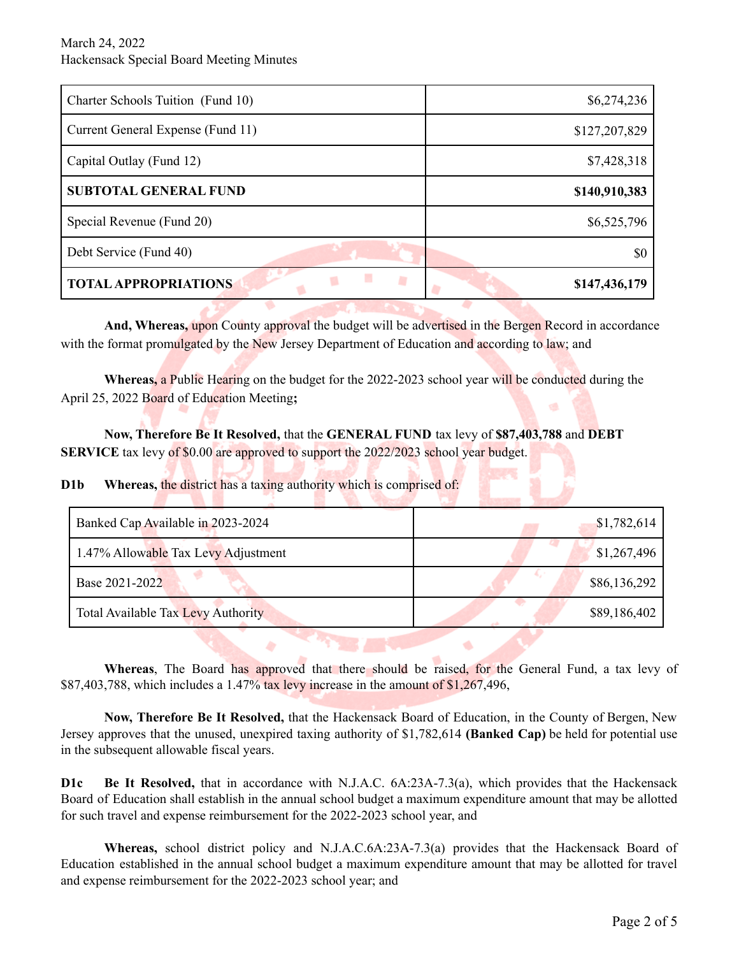| Charter Schools Tuition (Fund 10)     | \$6,274,236   |
|---------------------------------------|---------------|
| Current General Expense (Fund 11)     | \$127,207,829 |
| Capital Outlay (Fund 12)              | \$7,428,318   |
| <b>SUBTOTAL GENERAL FUND</b>          | \$140,910,383 |
| Special Revenue (Fund 20)             | \$6,525,796   |
| Debt Service (Fund 40)                | \$0           |
| и<br>u<br><b>TOTAL APPROPRIATIONS</b> | \$147,436,179 |

**And, Whereas,** upon County approval the budget will be advertised in the Bergen Record in accordance with the format promulgated by the New Jersey Department of Education and according to law; and

**Whereas,** a Public Hearing on the budget for the 2022-2023 school year will be conducted during the April 25, 2022 Board of Education Meeting**;**

**Now, Therefore Be It Resolved,** that the **GENERAL FUND** tax levy of **\$87,403,788** and **DEBT SERVICE** tax levy of \$0.00 are approved to support the 2022/2023 school year budget.

**D1b Whereas, the district has a taxing authority which is comprised of:** 

| Banked Cap Available in 2023-2024         | \$1,782,614  |
|-------------------------------------------|--------------|
| 1.47% Allowable Tax Levy Adjustment       | \$1,267,496  |
| Base 2021-2022                            | \$86,136,292 |
| <b>Total Available Tax Levy Authority</b> | \$89,186,402 |

**Whereas**, The Board has approved that there should be raised, for the General Fund, a tax levy of \$87,403,788, which includes a 1.47% tax levy increase in the amount of  $$1,267,496$ ,

**Now, Therefore Be It Resolved,** that the Hackensack Board of Education, in the County of Bergen, New Jersey approves that the unused, unexpired taxing authority of \$1,782,614 **(Banked Cap)** be held for potential use in the subsequent allowable fiscal years.

**D1c Be It Resolved,** that in accordance with N.J.A.C. 6A:23A-7.3(a), which provides that the Hackensack Board of Education shall establish in the annual school budget a maximum expenditure amount that may be allotted for such travel and expense reimbursement for the 2022-2023 school year, and

**Whereas,** school district policy and N.J.A.C.6A:23A-7.3(a) provides that the Hackensack Board of Education established in the annual school budget a maximum expenditure amount that may be allotted for travel and expense reimbursement for the 2022-2023 school year; and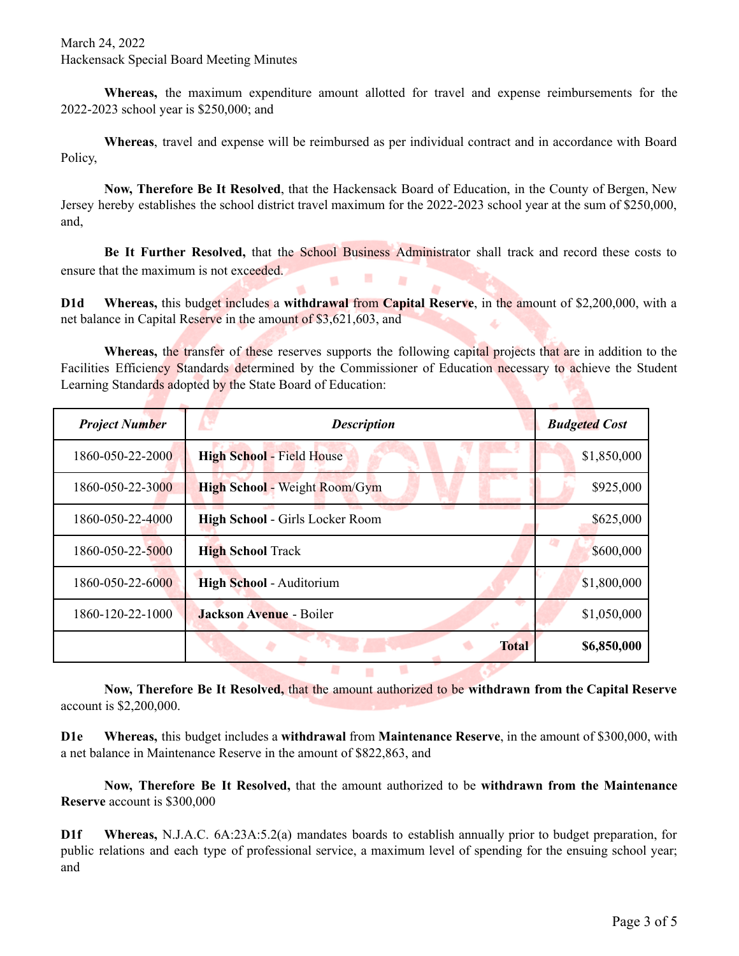March 24, 2022 Hackensack Special Board Meeting Minutes

**Whereas,** the maximum expenditure amount allotted for travel and expense reimbursements for the 2022-2023 school year is \$250,000; and

**Whereas**, travel and expense will be reimbursed as per individual contract and in accordance with Board Policy,

**Now, Therefore Be It Resolved**, that the Hackensack Board of Education, in the County of Bergen, New Jersey hereby establishes the school district travel maximum for the 2022-2023 school year at the sum of \$250,000, and,

**Be It Further Resolved,** that the School Business Administrator shall track and record these costs to ensure that the maximum is not exceeded. × m

**D1d Whereas,** this budget includes a **withdrawal** from **Capital Reserve**, in the amount of \$2,200,000, with a net balance in Capital Reserve in the amount of \$3,621,603, and

Whereas, the transfer of these reserves supports the following capital projects that are in addition to the Facilities Efficiency Standards determined by the Commissioner of Education necessary to achieve the Student Learning Standards adopted by the State Board of Education:

| <b>Project Number</b> | <b>Description</b>                   | <b>Budgeted Cost</b> |  |
|-----------------------|--------------------------------------|----------------------|--|
| 1860-050-22-2000      | <b>High School - Field House</b>     | \$1,850,000          |  |
| 1860-050-22-3000      | <b>High School - Weight Room/Gym</b> | \$925,000            |  |
| 1860-050-22-4000      | High School - Girls Locker Room      | \$625,000            |  |
| 1860-050-22-5000      | <b>High School Track</b>             | \$600,000            |  |
| 1860-050-22-6000      | High School - Auditorium             | \$1,800,000          |  |
| 1860-120-22-1000      | <b>Jackson Avenue - Boiler</b>       | \$1,050,000          |  |
|                       | <b>Total</b>                         | \$6,850,000          |  |

**Now, Therefore Be It Resolved,** that the amount authorized to be **withdrawn from the Capital Reserve** account is \$2,200,000.

**M** 

**D1e Whereas,** this budget includes a **withdrawal** from **Maintenance Reserve**, in the amount of \$300,000, with a net balance in Maintenance Reserve in the amount of \$822,863, and

**Now, Therefore Be It Resolved,** that the amount authorized to be **withdrawn from the Maintenance Reserve** account is \$300,000

**D1f Whereas,** N.J.A.C. 6A:23A:5.2(a) mandates boards to establish annually prior to budget preparation, for public relations and each type of professional service, a maximum level of spending for the ensuing school year; and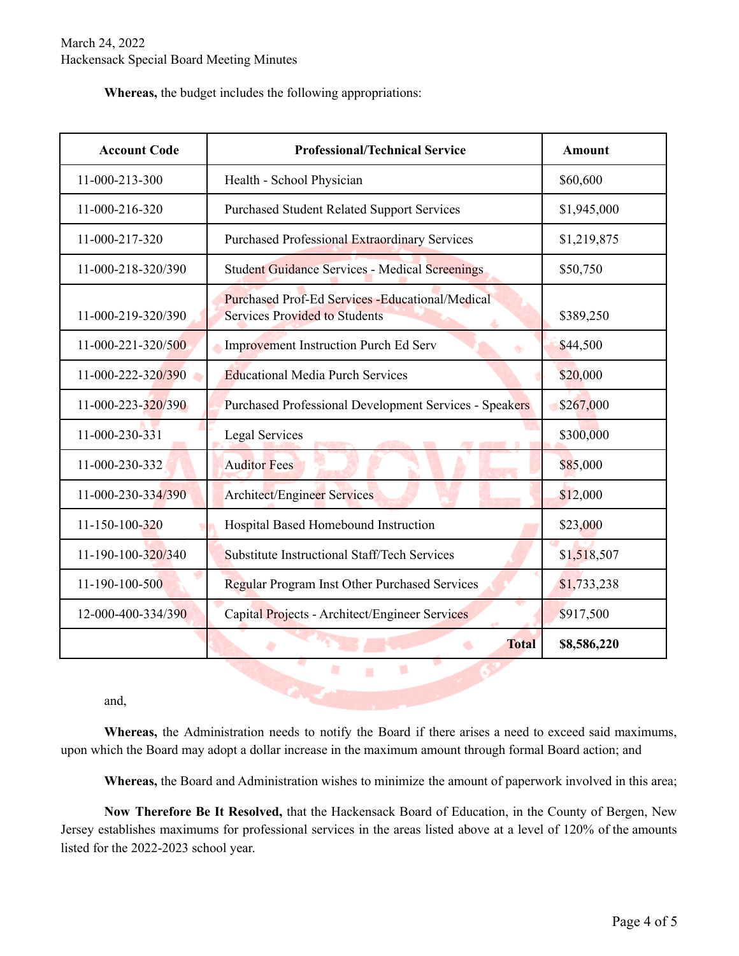**Whereas,** the budget includes the following appropriations:

| <b>Account Code</b> | <b>Professional/Technical Service</b>                                                           | <b>Amount</b> |
|---------------------|-------------------------------------------------------------------------------------------------|---------------|
| 11-000-213-300      | Health - School Physician                                                                       | \$60,600      |
| 11-000-216-320      | <b>Purchased Student Related Support Services</b>                                               | \$1,945,000   |
| 11-000-217-320      | <b>Purchased Professional Extraordinary Services</b>                                            | \$1,219,875   |
| 11-000-218-320/390  | <b>Student Guidance Services - Medical Screenings</b>                                           | \$50,750      |
| 11-000-219-320/390  | <b>Purchased Prof-Ed Services - Educational/Medical</b><br><b>Services Provided to Students</b> | \$389,250     |
| 11-000-221-320/500  | <b>Improvement Instruction Purch Ed Serv</b><br>₩                                               | \$44,500      |
| 11-000-222-320/390  | <b>Educational Media Purch Services</b>                                                         | \$20,000      |
| 11-000-223-320/390  | <b>Purchased Professional Development Services - Speakers</b>                                   | \$267,000     |
| 11-000-230-331      | <b>Legal Services</b>                                                                           | \$300,000     |
| 11-000-230-332      | <b>Auditor Fees</b>                                                                             | \$85,000      |
| 11-000-230-334/390  | <b>Architect/Engineer Services</b>                                                              | \$12,000      |
| 11-150-100-320      | Hospital Based Homebound Instruction                                                            | \$23,000      |
| 11-190-100-320/340  | Substitute Instructional Staff/Tech Services                                                    | \$1,518,507   |
| 11-190-100-500      | <b>Regular Program Inst Other Purchased Services</b>                                            | \$1,733,238   |
| 12-000-400-334/390  | Capital Projects - Architect/Engineer Services                                                  | \$917,500     |
|                     | <b>Total</b><br>ó                                                                               | \$8,586,220   |

and,

**Whereas,** the Administration needs to notify the Board if there arises a need to exceed said maximums, upon which the Board may adopt a dollar increase in the maximum amount through formal Board action; and

×

**Whereas,** the Board and Administration wishes to minimize the amount of paperwork involved in this area;

**Now Therefore Be It Resolved,** that the Hackensack Board of Education, in the County of Bergen, New Jersey establishes maximums for professional services in the areas listed above at a level of 120% of the amounts listed for the 2022-2023 school year.